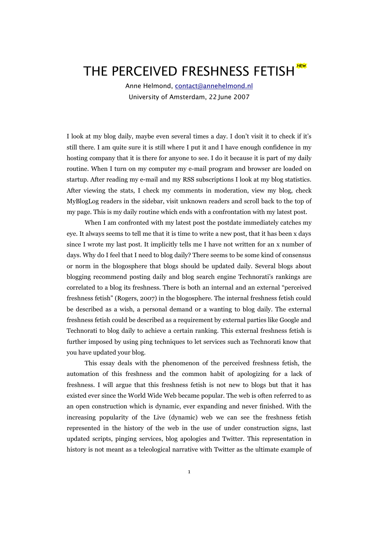# THE PERCEIVED FRESHNESS FETISH

Anne Helmond, [contact@annehelmond.nl](mailto:contact@annehelmond.nl) University of Amsterdam, 22 June 2007

I look at my blog daily, maybe even several times a day. I don't visit it to check if it's still there. I am quite sure it is still where I put it and I have enough confidence in my hosting company that it is there for anyone to see. I do it because it is part of my daily routine. When I turn on my computer my e-mail program and browser are loaded on startup. After reading my e-mail and my RSS subscriptions I look at my blog statistics. After viewing the stats, I check my comments in moderation, view my blog, check MyBlogLog readers in the sidebar, visit unknown readers and scroll back to the top of my page. This is my daily routine which ends with a confrontation with my latest post.

When I am confronted with my latest post the postdate immediately catches my eye. It always seems to tell me that it is time to write a new post, that it has been x days since I wrote my last post. It implicitly tells me I have not written for an x number of days. Why do I feel that I need to blog daily? There seems to be some kind of consensus or norm in the blogosphere that blogs should be updated daily. Several blogs about blogging recommend posting daily and blog search engine Technorati's rankings are correlated to a blog its freshness. There is both an internal and an external "perceived freshness fetish" (Rogers, 2007) in the blogosphere. The internal freshness fetish could be described as a wish, a personal demand or a wanting to blog daily. The external freshness fetish could be described as a requirement by external parties like Google and Technorati to blog daily to achieve a certain ranking. This external freshness fetish is further imposed by using ping techniques to let services such as Technorati know that you have updated your blog.

This essay deals with the phenomenon of the perceived freshness fetish, the automation of this freshness and the common habit of apologizing for a lack of freshness. I will argue that this freshness fetish is not new to blogs but that it has existed ever since the World Wide Web became popular. The web is often referred to as an open construction which is dynamic, ever expanding and never finished. With the increasing popularity of the Live (dynamic) web we can see the freshness fetish represented in the history of the web in the use of under construction signs, last updated scripts, pinging services, blog apologies and Twitter. This representation in history is not meant as a teleological narrative with Twitter as the ultimate example of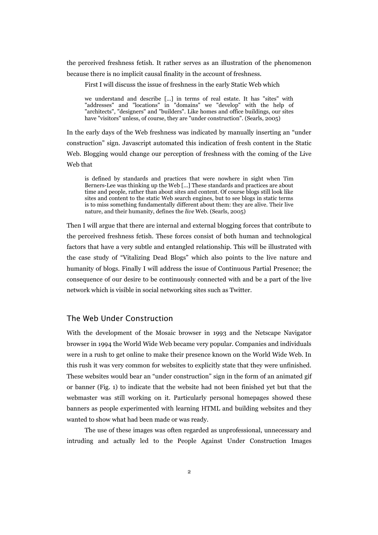the perceived freshness fetish. It rather serves as an illustration of the phenomenon because there is no implicit causal finality in the account of freshness.

First I will discuss the issue of freshness in the early Static Web which

we understand and describe [...] in terms of real estate. It has "sites" with "addresses" and "locations" in "domains" we "develop" with the help of "architects", "designers" and "builders". Like homes and office buildings, our sites have "visitors" unless, of course, they are "under construction". (Searls, 2005)

In the early days of the Web freshness was indicated by manually inserting an "under construction" sign. Javascript automated this indication of fresh content in the Static Web. Blogging would change our perception of freshness with the coming of the Live Web that

is defined by standards and practices that were nowhere in sight when Tim Berners-Lee was thinking up the Web [...] These standards and practices are about time and people, rather than about sites and content. Of course blogs still look like sites and content to the static Web search engines, but to see blogs in static terms is to miss something fundamentally different about them: they are alive. Their live nature, and their humanity, defines the *live* Web. (Searls, 2005)

Then I will argue that there are internal and external blogging forces that contribute to the perceived freshness fetish. These forces consist of both human and technological factors that have a very subtle and entangled relationship. This will be illustrated with the case study of "Vitalizing Dead Blogs" which also points to the live nature and humanity of blogs. Finally I will address the issue of Continuous Partial Presence; the consequence of our desire to be continuously connected with and be a part of the live network which is visible in social networking sites such as Twitter.

## The Web Under Construction

With the development of the Mosaic browser in 1993 and the Netscape Navigator browser in 1994 the World Wide Web became very popular. Companies and individuals were in a rush to get online to make their presence known on the World Wide Web. In this rush it was very common for websites to explicitly state that they were unfinished. These websites would bear an "under construction" sign in the form of an animated gif or banner (Fig. 1) to indicate that the website had not been finished yet but that the webmaster was still working on it. Particularly personal homepages showed these banners as people experimented with learning HTML and building websites and they wanted to show what had been made or was ready.

The use of these images was often regarded as unprofessional, unnecessary and intruding and actually led to the People Against Under Construction Images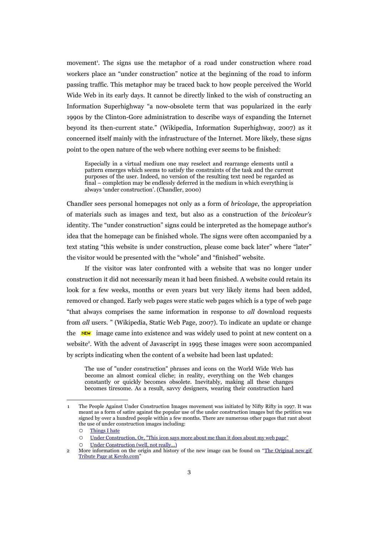movement<sup>[1](#page-2-0)</sup>. The signs use the metaphor of a road under construction where road workers place an "under construction" notice at the beginning of the road to inform passing traffic. This metaphor may be traced back to how people perceived the World Wide Web in its early days. It cannot be directly linked to the wish of constructing an Information Superhighway "a now-obsolete term that was popularized in the early 1990s by the Clinton-Gore administration to describe ways of expanding the Internet beyond its then-current state." (Wikipedia, Information Superhighway, 2007) as it concerned itself mainly with the infrastructure of the Internet. More likely, these signs point to the open nature of the web where nothing ever seems to be finished:

Especially in a virtual medium one may reselect and rearrange elements until a pattern emerges which seems to satisfy the constraints of the task and the current purposes of the user. Indeed, no version of the resulting text need be regarded as final – completion may be endlessly deferred in the medium in which everything is always 'under construction'. (Chandler, 2000)

Chandler sees personal homepages not only as a form of *bricolage*, the appropriation of materials such as images and text, but also as a construction of the *bricoleur's* identity. The "under construction" signs could be interpreted as the homepage author's idea that the homepage can be finished whole. The signs were often accompanied by a text stating "this website is under construction, please come back later" where "later" the visitor would be presented with the "whole" and "finished" website.

If the visitor was later confronted with a website that was no longer under construction it did not necessarily mean it had been finished. A website could retain its look for a few weeks, months or even years but very likely items had been added, removed or changed. Early web pages were static web pages which is a type of web page "that always comprises the same information in response to *all* download requests from *all* users. " (Wikipedia, Static Web Page, 2007). To indicate an update or change the **NEW** image came into existence and was widely used to point at new content on a website<sup>[2](#page-2-1)</sup>. With the advent of Javascript in 1995 these images were soon accompanied by scripts indicating when the content of a website had been last updated:

The use of "under construction" phrases and icons on the World Wide Web has become an almost comical cliche; in reality, everything on the Web changes constantly or quickly becomes obsolete. Inevitably, making all these changes becomes tiresome. As a result, savvy designers, wearing their construction hard

<span id="page-2-0"></span><sup>1</sup> The People Against Under Construction Images movement was initiated by Nifty Rifty in 1997. It was meant as a form of satire against the popular use of the under construction images but the petition was signed by over a hundred people within a few months. There are numerous other pages that rant about the use of under construction images including:

<sup>○</sup> [Things I hate](http://www.boulter.com/jeff/hate.html#construction)

<sup>○</sup> [Under Construction, Or, "This icon says more about me than it does about my web page"](http://www.cs.utah.edu/~gk/atwork/)

<span id="page-2-1"></span><sup>○</sup> [Under Construction \(well, not really...\)](http://users.tkk.fi/~jjknuutt/kesken.html)

<sup>2</sup> More information on the origin and history of the new image can be found on "The [Original](http://www.kevdo.com/newgif/) new.gif [Tribute Page at Kevdo.com"](http://www.kevdo.com/newgif/)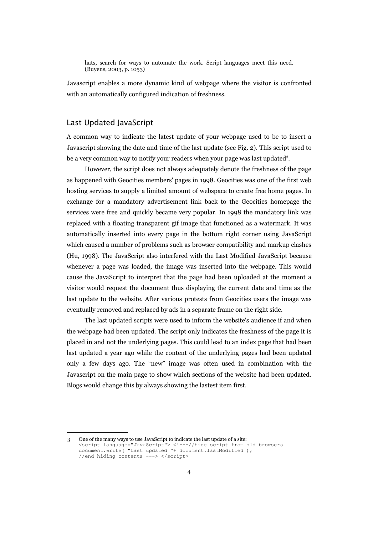hats, search for ways to automate the work. Script languages meet this need. (Buyens, 2003, p. 1053)

Javascript enables a more dynamic kind of webpage where the visitor is confronted with an automatically configured indication of freshness.

## Last Updated JavaScript

A common way to indicate the latest update of your webpage used to be to insert a Javascript showing the date and time of the last update (see Fig. 2). This script used to be a very common way to notify your readers when your page was last updated<sup>[3](#page-3-0)</sup>.

However, the script does not always adequately denote the freshness of the page as happened with Geocities members' pages in 1998. Geocities was one of the first web hosting services to supply a limited amount of webspace to create free home pages. In exchange for a mandatory advertisement link back to the Geocities homepage the services were free and quickly became very popular. In 1998 the mandatory link was replaced with a floating transparent gif image that functioned as a watermark. It was automatically inserted into every page in the bottom right corner using JavaScript which caused a number of problems such as browser compatibility and markup clashes (Hu, 1998). The JavaScript also interfered with the Last Modified JavaScript because whenever a page was loaded, the image was inserted into the webpage. This would cause the JavaScript to interpret that the page had been uploaded at the moment a visitor would request the document thus displaying the current date and time as the last update to the website. After various protests from Geocities users the image was eventually removed and replaced by ads in a separate frame on the right side.

The last updated scripts were used to inform the website's audience if and when the webpage had been updated. The script only indicates the freshness of the page it is placed in and not the underlying pages. This could lead to an index page that had been last updated a year ago while the content of the underlying pages had been updated only a few days ago. The "new" image was often used in combination with the Javascript on the main page to show which sections of the website had been updated. Blogs would change this by always showing the lastest item first.

<span id="page-3-0"></span><sup>3</sup> One of the many ways to use JavaScript to indicate the last update of a site: <script language="JavaScript"> <!---//hide script from old browsers document.write( "Last updated "+ document.lastModified ); //end hiding contents ---> </script>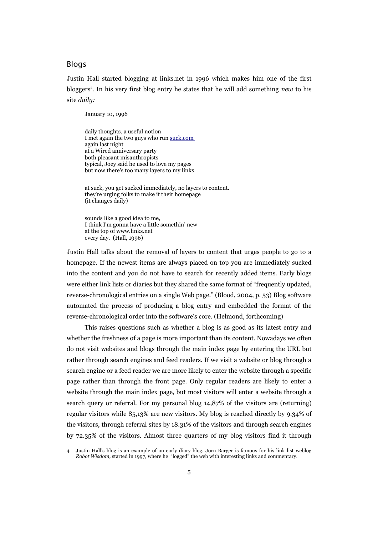## Blogs

Justin Hall started blogging at links.net in 1996 which makes him one of the first bloggers<sup>[4](#page-4-0)</sup>. In his very first blog entry he states that he will add something *new* to his site *daily:*

January 10, 1996

daily thoughts, a useful notion I met again the two guys who run [suck.com](http://www.links.net/vita/web/suck.html) again last night at a Wired anniversary party both pleasant misanthropists typical, Joey said he used to love my pages but now there's too many layers to my links

at suck, you get sucked immediately, no layers to content. they're urging folks to make it their homepage (it changes daily)

sounds like a good idea to me, I think I'm gonna have a little somethin' new at the top of www.links.net every day. (Hall, 1996)

Justin Hall talks about the removal of layers to content that urges people to go to a homepage. If the newest items are always placed on top you are immediately sucked into the content and you do not have to search for recently added items. Early blogs were either link lists or diaries but they shared the same format of "frequently updated, reverse-chronological entries on a single Web page." (Blood, 2004, p. 53) Blog software automated the process of producing a blog entry and embedded the format of the reverse-chronological order into the software's core. (Helmond, forthcoming)

This raises questions such as whether a blog is as good as its latest entry and whether the freshness of a page is more important than its content. Nowadays we often do not visit websites and blogs through the main index page by entering the URL but rather through search engines and feed readers. If we visit a website or blog through a search engine or a feed reader we are more likely to enter the website through a specific page rather than through the front page. Only regular readers are likely to enter a website through the main index page, but most visitors will enter a website through a search query or referral. For my personal blog 14,87% of the visitors are (returning) regular visitors while 85,13% are new visitors. My blog is reached directly by 9.34% of the visitors, through referral sites by 18.31% of the visitors and through search engines by 72.35% of the visitors. Almost three quarters of my blog visitors find it through

<span id="page-4-0"></span><sup>4</sup> Justin Hall's blog is an example of an early diary blog. Jorn Barger is famous for his link list weblog *Robot Wisdom,* started in 1997, where he "logged" the web with interesting links and commentary.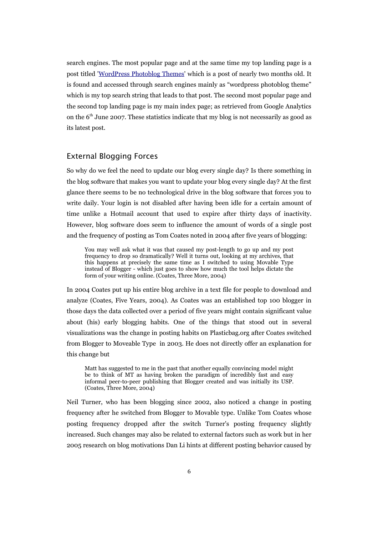search engines. The most popular page and at the same time my top landing page is a post titled '[WordPress](http://annehelmond.nl/2007/04/29/wordpress-and-photos-4-wordpress-photoblog-themes/) Photoblog Themes' which is a post of nearly two months old. It is found and accessed through search engines mainly as "wordpress photoblog theme" which is my top search string that leads to that post. The second most popular page and the second top landing page is my main index page; as retrieved from Google Analytics on the  $6<sup>th</sup>$  June 2007. These statistics indicate that my blog is not necessarily as good as its latest post.

### External Blogging Forces

So why do we feel the need to update our blog every single day? Is there something in the blog software that makes you want to update your blog every single day? At the first glance there seems to be no technological drive in the blog software that forces you to write daily. Your login is not disabled after having been idle for a certain amount of time unlike a Hotmail account that used to expire after thirty days of inactivity. However, blog software does seem to influence the amount of words of a single post and the frequency of posting as Tom Coates noted in 2004 after five years of blogging:

You may well ask what it was that caused my post-length to go up and my post frequency to drop so dramatically? Well it turns out, looking at my archives, that this happens at precisely the same time as I switched to using Movable Type instead of Blogger - which just goes to show how much the tool helps dictate the form of your writing online. (Coates, Three More, 2004)

In 2004 Coates put up his entire blog archive in a text file for people to download and analyze (Coates, Five Years, 2004). As Coates was an established top 100 blogger in those days the data collected over a period of five years might contain significant value about (his) early blogging habits. One of the things that stood out in several visualizations was the change in posting habits on Plasticbag.org after Coates switched from Blogger to Moveable Type in 2003. He does not directly offer an explanation for this change but

Matt has suggested to me in the past that another equally convincing model might be to think of MT as having broken the paradigm of incredibly fast and easy informal peer-to-peer publishing that Blogger created and was initially its USP. (Coates, Three More, 2004)

Neil Turner, who has been blogging since 2002, also noticed a change in posting frequency after he switched from Blogger to Movable type. Unlike Tom Coates whose posting frequency dropped after the switch Turner's posting frequency slightly increased. Such changes may also be related to external factors such as work but in her 2005 research on blog motivations Dan Li hints at different posting behavior caused by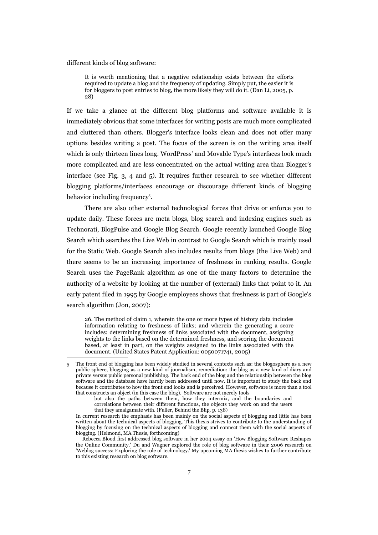different kinds of blog software:

It is worth mentioning that a negative relationship exists between the efforts required to update a blog and the frequency of updating. Simply put, the easier it is for bloggers to post entries to blog, the more likely they will do it. (Dan Li, 2005, p. 28)

If we take a glance at the different blog platforms and software available it is immediately obvious that some interfaces for writing posts are much more complicated and cluttered than others. Blogger's interface looks clean and does not offer many options besides writing a post. The focus of the screen is on the writing area itself which is only thirteen lines long. WordPress' and Movable Type's interfaces look much more complicated and are less concentrated on the actual writing area than Blogger's interface (see Fig. 3, 4 and 5). It requires further research to see whether different blogging platforms/interfaces encourage or discourage different kinds of blogging behavior including frequency<sup>[5](#page-6-0)</sup>.

There are also other external technological forces that drive or enforce you to update daily. These forces are meta blogs, blog search and indexing engines such as Technorati, BlogPulse and Google Blog Search. Google recently launched Google Blog Search which searches the Live Web in contrast to Google Search which is mainly used for the Static Web. Google Search also includes results from blogs (the Live Web) and there seems to be an increasing importance of freshness in ranking results. Google Search uses the PageRank algorithm as one of the many factors to determine the authority of a website by looking at the number of (external) links that point to it. An early patent filed in 1995 by Google employees shows that freshness is part of Google's search algorithm (Jon, 2007):

26. The method of claim 1, wherein the one or more types of history data includes information relating to freshness of links; and wherein the generating a score includes: determining freshness of links associated with the document, assigning weights to the links based on the determined freshness, and scoring the document based, at least in part, on the weights assigned to the links associated with the document. (United States Patent Application: 0050071741, 2005)

<span id="page-6-0"></span><sup>5</sup> The front end of blogging has been widely studied in several contexts such as: the blogosphere as a new public sphere, blogging as a new kind of journalism, remediation: the blog as a new kind of diary and private versus public personal publishing. The back end of the blog and the relationship between the blog software and the database have hardly been addressed until now. It is important to study the back end because it contributes to how the front end looks and is perceived. However, software is more than a tool that constructs an object (in this case the blog). Software are not merely tools

but also the paths between them, how they intermix, and the boundaries and

correlations between their different functions, the objects they work on and the users that they amalgamate with. (Fuller, Behind the Blip*,* p. 138)

In current research the emphasis has been mainly on the social aspects of blogging and little has been written about the technical aspects of blogging. This thesis strives to contribute to the understanding of blogging by focusing on the technical aspects of blogging and connect them with the social aspects of blogging. (Helmond, MA Thesis, forthcoming)

Rebecca Blood first addressed blog software in her 2004 essay on 'How Blogging Software Reshapes the Online Community.' Du and Wagner explored the role of blog software in their 2006 research on 'Weblog success: Exploring the role of technology.' My upcoming MA thesis wishes to further contribute to this existing research on blog software.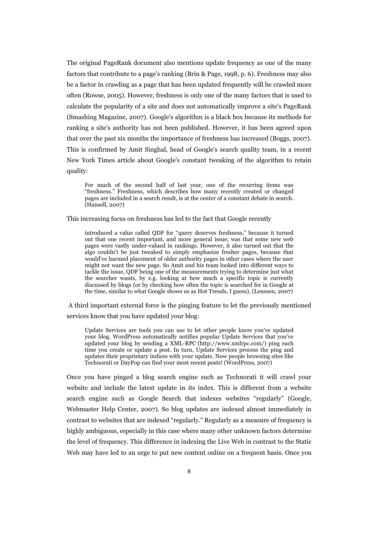The original PageRank document also mentions update frequency as one of the many factors that contribute to a page's ranking (Brin & Page, 1998, p. 6). Freshness may also be a factor in crawling as a page that has been updated frequently will be crawled more often (Rowse, 2005). However, freshness is only one of the many factors that is used to calculate the popularity of a site and does not automatically improve a site's PageRank (Smashing Magazine, 2007). Google's algorithm is a black box because its methods for ranking a site's authority has not been published. However, it has been agreed upon that over the past six months the importance of freshness has increased (Boggs, 2007). This is confirmed by Amit Singhal, head of Google's search quality team, in a recent New York Times article about Google's constant tweaking of the algorithm to retain quality:

For much of the second half of last year, one of the recurring items was "freshness." Freshness, which describes how many recently created or changed pages are included in a search result, is at the center of a constant debate in search. (Hansell, 2007)

This increasing focus on freshness has led to the fact that Google recently

introduced a value called QDF for "query deserves freshness," because it turned out that one recent important, and more general issue, was that some new web pages were vastly under-valued in rankings. However, it also turned out that the algo couldn't be just tweaked to simply emphasize fresher pages, because that would've harmed placement of older authority pages in other cases where the user might not want the new page. So Amit and his team looked into different ways to tackle the issue, QDF being one of the measurements trying to determine just what the searcher wants, by e.g. looking at how much a specific topic is currently discussed by blogs (or by checking how often the topic is searched for in Google at the time, similar to what Google shows us as Hot Trends, I guess). (Lenssen, 2007)

A third important external force is the pinging feature to let the previously mentioned services know that you have updated your blog:

Update Services are tools you can use to let other people know you've updated your blog. WordPress automatically notifies popular Update Services that you've updated your blog by sending a XML-RPC (http://www.xmlrpc.com/) ping each time you create or update a post. In turn, Update Services process the ping and updates their proprietary indices with your update. Now people browsing sites like Technorati or DayPop can find your most recent posts! (WordPress, 2007)

Once you have pinged a blog search engine such as Technorati it will crawl your website and include the latest update in its index. This is different from a website search engine such as Google Search that indexes websites "regularly" (Google, Webmaster Help Center, 2007). So blog updates are indexed almost immediately in contrast to websites that are indexed "regularly." Regularly as a measure of frequency is highly ambiguous, especially in this case where many other unknown factors determine the level of frequency. This difference in indexing the Live Web in contrast to the Static Web may have led to an urge to put new content online on a frequent basis. Once you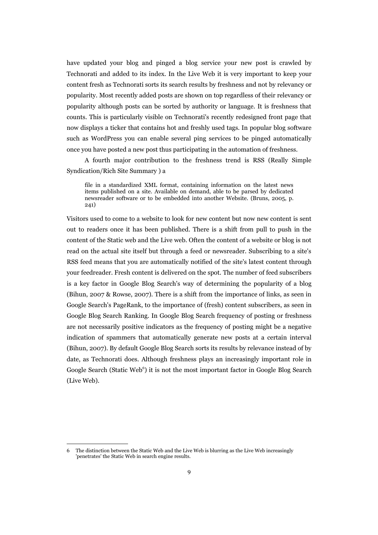have updated your blog and pinged a blog service your new post is crawled by Technorati and added to its index. In the Live Web it is very important to keep your content fresh as Technorati sorts its search results by freshness and not by relevancy or popularity. Most recently added posts are shown on top regardless of their relevancy or popularity although posts can be sorted by authority or language. It is freshness that counts. This is particularly visible on Technorati's recently redesigned front page that now displays a ticker that contains hot and freshly used tags. In popular blog software such as WordPress you can enable several ping services to be pinged automatically once you have posted a new post thus participating in the automation of freshness.

A fourth major contribution to the freshness trend is RSS (Really Simple Syndication/Rich Site Summary ) a

file in a standardized XML format, containing information on the latest news items published on a site. Available on demand, able to be parsed by dedicated newsreader software or to be embedded into another Website. (Bruns, 2005, p. 241)

Visitors used to come to a website to look for new content but now new content is sent out to readers once it has been published. There is a shift from pull to push in the content of the Static web and the Live web. Often the content of a website or blog is not read on the actual site itself but through a feed or newsreader. Subscribing to a site's RSS feed means that you are automatically notified of the site's latest content through your feedreader. Fresh content is delivered on the spot. The number of feed subscribers is a key factor in Google Blog Search's way of determining the popularity of a blog (Bihun, 2007 & Rowse, 2007). There is a shift from the importance of links, as seen in Google Search's PageRank, to the importance of (fresh) content subscribers, as seen in Google Blog Search Ranking. In Google Blog Search frequency of posting or freshness are not necessarily positive indicators as the frequency of posting might be a negative indication of spammers that automatically generate new posts at a certain interval (Bihun, 2007). By default Google Blog Search sorts its results by relevance instead of by date, as Technorati does. Although freshness plays an increasingly important role in Google Search (Static Web<sup>[6](#page-8-0)</sup>) it is not the most important factor in Google Blog Search (Live Web).

<span id="page-8-0"></span><sup>6</sup> The distinction between the Static Web and the Live Web is blurring as the Live Web increasingly 'penetrates' the Static Web in search engine results.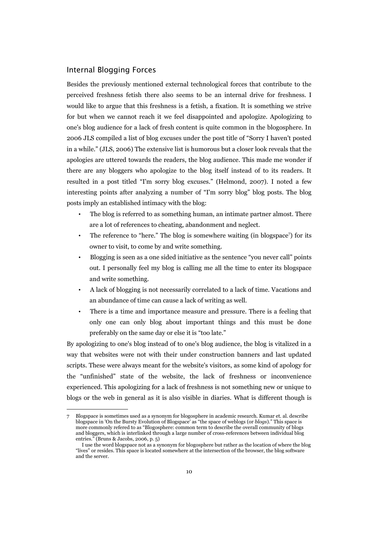#### Internal Blogging Forces

Besides the previously mentioned external technological forces that contribute to the perceived freshness fetish there also seems to be an internal drive for freshness. I would like to argue that this freshness is a fetish, a fixation. It is something we strive for but when we cannot reach it we feel disappointed and apologize. Apologizing to one's blog audience for a lack of fresh content is quite common in the blogosphere. In 2006 JLS compiled a list of blog excuses under the post title of "Sorry I haven't posted in a while." (JLS, 2006) The extensive list is humorous but a closer look reveals that the apologies are uttered towards the readers, the blog audience. This made me wonder if there are any bloggers who apologize to the blog itself instead of to its readers. It resulted in a post titled "I'm sorry blog excuses." (Helmond, 2007). I noted a few interesting points after analyzing a number of "I'm sorry blog" blog posts. The blog posts imply an established intimacy with the blog:

- The blog is referred to as something human, an intimate partner almost. There are a lot of references to cheating, abandonment and neglect.
- The reference to "here." The blog is somewhere waiting (in blogspace<sup>[7](#page-9-0)</sup>) for its owner to visit, to come by and write something.
- Blogging is seen as a one sided initiative as the sentence "you never call" points out. I personally feel my blog is calling me all the time to enter its blogspace and write something.
- A lack of blogging is not necessarily correlated to a lack of time. Vacations and an abundance of time can cause a lack of writing as well.
- There is a time and importance measure and pressure. There is a feeling that only one can only blog about important things and this must be done preferably on the same day or else it is "too late."

By apologizing to one's blog instead of to one's blog audience, the blog is vitalized in a way that websites were not with their under construction banners and last updated scripts. These were always meant for the website's visitors, as some kind of apology for the "unfinished" state of the website, the lack of freshness or inconvenience experienced. This apologizing for a lack of freshness is not something new or unique to blogs or the web in general as it is also visible in diaries. What is different though is

<span id="page-9-0"></span><sup>7</sup> Blogspace is sometimes used as a synonym for blogosphere in academic research. Kumar et. al. describe blogspace in 'On the Bursty Evolution of Blogspace' as "the space of weblogs (or *blogs*)." This space is more commonly refered to as "Blogosphere: common term to describe the overall community of blogs and bloggers, which is interlinked through a large number of cross-references between individual blog entries." (Bruns & Jacobs, 2006, p. 5)

I use the word blogspace not as a synonym for blogosphere but rather as the location of where the blog "lives" or resides. This space is located somewhere at the intersection of the browser, the blog software and the server.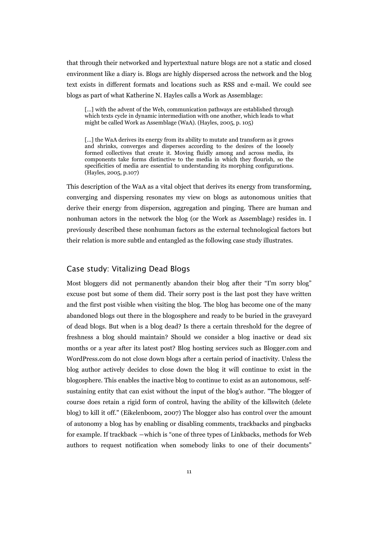that through their networked and hypertextual nature blogs are not a static and closed environment like a diary is. Blogs are highly dispersed across the network and the blog text exists in different formats and locations such as RSS and e-mail. We could see blogs as part of what Katherine N. Hayles calls a Work as Assemblage:

[...] with the advent of the Web, communication pathways are established through which texts cycle in dynamic intermediation with one another, which leads to what might be called Work as Assemblage (WaA). (Hayles, 2005, p. 105)

[…] the WaA derives its energy from its ability to mutate and transform as it grows and shrinks, converges and disperses according to the desires of the loosely formed collectives that create it. Moving fluidly among and across media, its components take forms distinctive to the media in which they flourish, so the specificities of media are essential to understanding its morphing configurations. (Hayles, 2005, p.107)

This description of the WaA as a vital object that derives its energy from transforming, converging and dispersing resonates my view on blogs as autonomous unities that derive their energy from dispersion, aggregation and pinging. There are human and nonhuman actors in the network the blog (or the Work as Assemblage) resides in. I previously described these nonhuman factors as the external technological factors but their relation is more subtle and entangled as the following case study illustrates.

## Case study: Vitalizing Dead Blogs

Most bloggers did not permanently abandon their blog after their "I'm sorry blog" excuse post but some of them did. Their sorry post is the last post they have written and the first post visible when visiting the blog. The blog has become one of the many abandoned blogs out there in the blogosphere and ready to be buried in the graveyard of dead blogs. But when is a blog dead? Is there a certain threshold for the degree of freshness a blog should maintain? Should we consider a blog inactive or dead six months or a year after its latest post? Blog hosting services such as Blogger.com and WordPress.com do not close down blogs after a certain period of inactivity. Unless the blog author actively decides to close down the blog it will continue to exist in the blogosphere. This enables the inactive blog to continue to exist as an autonomous, selfsustaining entity that can exist without the input of the blog's author. "The blogger of course does retain a rigid form of control, having the ability of the killswitch (delete blog) to kill it off." (Eikelenboom, 2007) The blogger also has control over the amount of autonomy a blog has by enabling or disabling comments, trackbacks and pingbacks for example. If trackback ―which is "one of three types of Linkbacks, methods for Web authors to request notification when somebody links to one of their documents"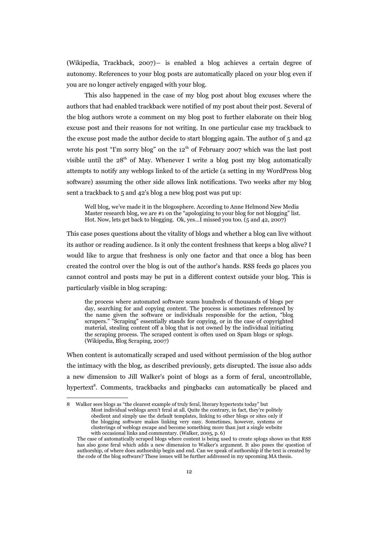(Wikipedia, Trackback, 2007)― is enabled a blog achieves a certain degree of autonomy. References to your blog posts are automatically placed on your blog even if you are no longer actively engaged with your blog.

This also happened in the case of my blog post about blog excuses where the authors that had enabled trackback were notified of my post about their post. Several of the blog authors wrote a comment on my blog post to further elaborate on their blog excuse post and their reasons for not writing. In one particular case my trackback to the excuse post made the author decide to start blogging again. The author of  $5$  and  $42$ wrote his post "I'm sorry blog" on the  $12<sup>th</sup>$  of February 2007 which was the last post visible until the  $28<sup>th</sup>$  of May. Whenever I write a blog post my blog automatically attempts to notify any weblogs linked to of the article (a setting in my WordPress blog software) assuming the other side allows link notifications. Two weeks after my blog sent a trackback to 5 and 42's blog a new blog post was put up:

Well blog, we've made it in the blogosphere. According to Anne Helmond New Media Master research blog, we are #1 on the "apologizing to your blog for not blogging" list. Hot. Now, lets get back to blogging. Ok, yes…I missed you too. (5 and 42, 2007)

This case poses questions about the vitality of blogs and whether a blog can live without its author or reading audience. Is it only the content freshness that keeps a blog alive? I would like to argue that freshness is only one factor and that once a blog has been created the control over the blog is out of the author's hands. RSS feeds go places you cannot control and posts may be put in a different context outside your blog. This is particularly visible in blog scraping:

the process where automated software scans hundreds of thousands of blogs per day, searching for and copying content. The process is sometimes referenced by the name given the software or individuals responsible for the action, "blog scrapers." "Scraping" essentially stands for copying, or in the case of copyrighted material, stealing content off a blog that is not owned by the individual initiating the scraping process. The scraped content is often used on Spam blogs or splogs. (Wikipedia, Blog Scraping, 2007)

When content is automatically scraped and used without permission of the blog author the intimacy with the blog, as described previously, gets disrupted. The issue also adds a new dimension to Jill Walker's point of blogs as a form of feral, uncontrollable, hypertext<sup>[8](#page-11-0)</sup>. Comments, trackbacks and pingbacks can automatically be placed and

<span id="page-11-0"></span><sup>8</sup> Walker sees blogs as "the clearest example of truly feral, literary hypertexts today" but Most individual weblogs aren't feral at all. Quite the contrary, in fact, they're politely obedient and simply use the default templates, linking to other blogs or sites only if the blogging software makes linking very easy. Sometimes, however, systems or clusterings of weblogs escape and become something more than just a single website with occasional links and commentary. (Walker, 2005, p. 6)

The case of automatically scraped blogs where content is being used to create splogs shows us that RSS has also gone feral which adds a new dimension to Walker's argument. It also poses the question of authorship, of where does authorship begin and end. Can we speak of authorship if the text is created by the code of the blog software? These issues will be further addressed in my upcoming MA thesis.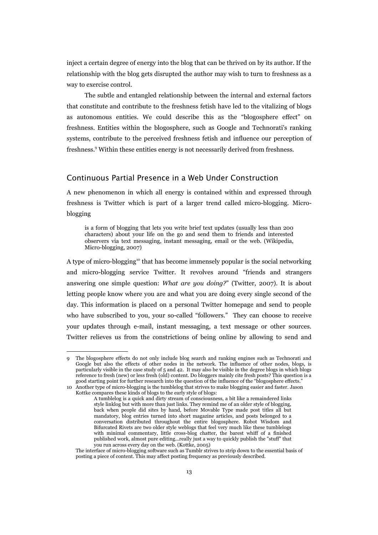inject a certain degree of energy into the blog that can be thrived on by its author. If the relationship with the blog gets disrupted the author may wish to turn to freshness as a way to exercise control.

The subtle and entangled relationship between the internal and external factors that constitute and contribute to the freshness fetish have led to the vitalizing of blogs as autonomous entities. We could describe this as the "blogosphere effect" on freshness. Entities within the blogosphere, such as Google and Technorati's ranking systems, contribute to the perceived freshness fetish and influence our perception of freshness.<sup>[9](#page-12-0)</sup> Within these entities energy is not necessarily derived from freshness.

## Continuous Partial Presence in a Web Under Construction

A new phenomenon in which all energy is contained within and expressed through freshness is Twitter which is part of a larger trend called micro-blogging. Microblogging

is a form of blogging that lets you write brief text updates (usually less than 200 characters) about your life on the go and send them to friends and interested observers via text messaging, instant messaging, email or the web. (Wikipedia, Micro-blogging, 2007)

A type of micro-blogging<sup>[10](#page-12-1)</sup> that has become immensely popular is the social networking and micro-blogging service Twitter. It revolves around "friends and strangers answering one simple question: *What are you doing?*" (Twitter, 2007). It is about letting people know where you are and what you are doing every single second of the day. This information is placed on a personal Twitter homepage and send to people who have subscribed to you, your so-called "followers." They can choose to receive your updates through e-mail, instant messaging, a text message or other sources. Twitter relieves us from the constrictions of being online by allowing to send and

<span id="page-12-0"></span><sup>9</sup> The blogosphere effects do not only include blog search and ranking engines such as Technorati and Google but also the effects of other nodes in the network. The influence of other nodes, blogs, is particularly visible in the case study of 5 and 42. It may also be visible in the degree blogs in which blogs reference to fresh (new) or less fresh (old) content. Do bloggers mainly cite fresh posts? This question is a good starting point for further research into the question of the influence of the "blogosphere effects." 10 Another type of micro-blogging is the tumblelog that strives to make blogging easier and faster. Jason

<span id="page-12-1"></span>Kottke compares these kinds of blogs to the early style of blogs:

A tumblelog is a quick and dirty stream of consciousness, a bit like a remaindered links style linklog but with more than just links. They remind me of an older style of blogging, back when people did sites by hand, before Movable Type made post titles all but mandatory, blog entries turned into short magazine articles, and posts belonged to a conversation distributed throughout the entire blogosphere. Robot Wisdom and Bifurcated Rivets are two older style weblogs that feel very much like these tumblelogs with minimal commentary, little cross-blog chatter, the barest whiff of a finished published work, almost pure editing...really just a way to quickly publish the "stuff" that you run across every day on the web. (Kottke, 2005)

The interface of micro-blogging software such as Tumblr strives to strip down to the essential basis of posting a piece of content. This may affect posting frequency as previously described.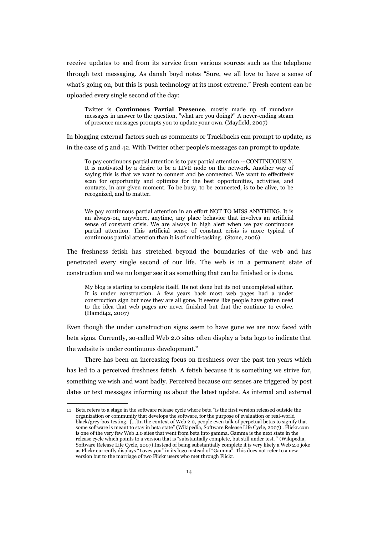receive updates to and from its service from various sources such as the telephone through text messaging. As danah boyd notes "Sure, we all love to have a sense of what's going on, but this is push technology at its most extreme." Fresh content can be uploaded every single second of the day:

Twitter is **Continuous Partial Presence**, mostly made up of mundane messages in answer to the question, "what are you doing?" A never-ending steam of presence messages prompts you to update your own. (Mayfield, 2007)

In blogging external factors such as comments or Trackbacks can prompt to update, as in the case of 5 and 42. With Twitter other people's messages can prompt to update.

To pay continuous partial attention is to pay partial attention -- CONTINUOUSLY. It is motivated by a desire to be a LIVE node on the network. Another way of saying this is that we want to connect and be connected. We want to effectively scan for opportunity and optimize for the best opportunities, activities, and contacts, in any given moment. To be busy, to be connected, is to be alive, to be recognized, and to matter.

We pay continuous partial attention in an effort NOT TO MISS ANYTHING. It is an always-on, anywhere, anytime, any place behavior that involves an artificial sense of constant crisis. We are always in high alert when we pay continuous partial attention. This artificial sense of constant crisis is more typical of continuous partial attention than it is of multi-tasking. (Stone, 2006)

The freshness fetish has stretched beyond the boundaries of the web and has penetrated every single second of our life. The web is in a permanent state of construction and we no longer see it as something that can be finished or is done.

My blog is starting to complete itself. Its not done but its not uncompleted either. It is under construction. A few years back most web pages had a under construction sign but now they are all gone. It seems like people have gotten used to the idea that web pages are never finished but that the continue to evolve. (Hamdi42, 2007)

Even though the under construction signs seem to have gone we are now faced with beta signs. Currently, so-called Web 2.0 sites often display a beta logo to indicate that the website is under continuous development.<sup>[11](#page-13-0)</sup>

There has been an increasing focus on freshness over the past ten years which has led to a perceived freshness fetish. A fetish because it is something we strive for, something we wish and want badly. Perceived because our senses are triggered by post dates or text messages informing us about the latest update. As internal and external

<span id="page-13-0"></span><sup>11</sup> Beta refers to a stage in the software release cycle where beta "is the first version released outside the organization or community that develops the software, for the purpose of evaluation or real-world black/grey-box testing. [...]In the context of Web 2.0, people even talk of perpetual betas to signify that some software is meant to stay in beta state" (Wikipedia, Software Release Life Cycle, 2007) . Flickr.com is one of the very few Web 2.0 sites that went from beta into gamma. Gamma is the next state in the release cycle which points to a version that is "substantially complete, but still under test. " (Wikipedia, Software Release Life Cycle, 2007) Instead of being substantially complete it is very likely a Web 2.0 joke as Flickr currently displays "Loves you" in its logo instead of "Gamma". This does not refer to a new version but to the marriage of two Flickr users who met through Flickr.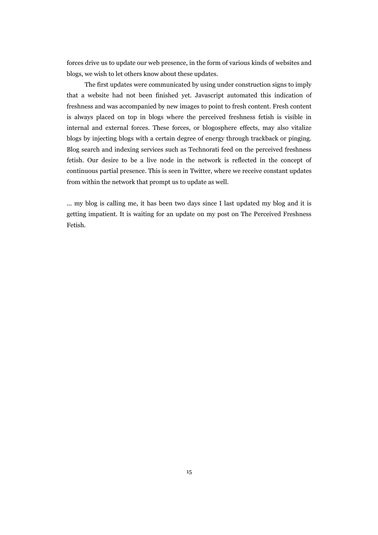forces drive us to update our web presence, in the form of various kinds of websites and blogs, we wish to let others know about these updates.

The first updates were communicated by using under construction signs to imply that a website had not been finished yet. Javascript automated this indication of freshness and was accompanied by new images to point to fresh content. Fresh content is always placed on top in blogs where the perceived freshness fetish is visible in internal and external forces. These forces, or blogosphere effects, may also vitalize blogs by injecting blogs with a certain degree of energy through trackback or pinging. Blog search and indexing services such as Technorati feed on the perceived freshness fetish. Our desire to be a live node in the network is reflected in the concept of continuous partial presence. This is seen in Twitter, where we receive constant updates from within the network that prompt us to update as well.

... my blog is calling me, it has been two days since I last updated my blog and it is getting impatient. It is waiting for an update on my post on The Perceived Freshness Fetish.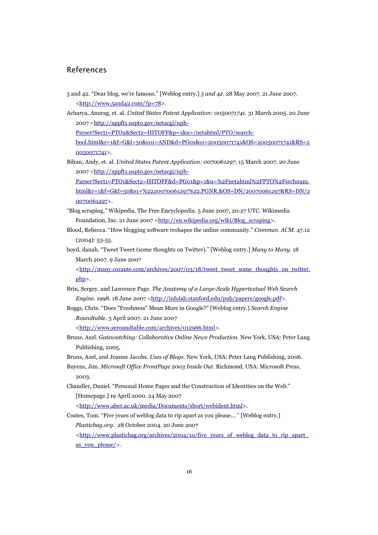#### References

- 5 and 42. "Dear blog, we're famous." [Weblog entry.] *5 and 42*. 28 May 2007. 21 June 2007. [<http://www.5and42.com/?p=78>](http://www.5and42.com/?p=78).
- Acharya, Anurag, et. al. *United States Patent Application: 0050071741*. 31 March 2005. 20 June 2007 [<http://appft1.uspto.gov/netacgi/nph-](http://appft1.uspto.gov/netacgi/nph-Parser?Sect1=PTO2&Sect2=HITOFF&p=1&u=/netahtml/PTO/search-bool.html&r=1&f=G&l=50&co1=AND&d=PG01&s1=20050071741&OS=20050071741&RS=20050071741)

Parser?Sect1=PTO2&Sect2=HITOFF&p=1&u=/netahtml/PTO/search-

[bool.html&r=1&f=G&l=50&co1=AND&d=PG01&s1=20050071741&OS=20050071741&RS=2](http://appft1.uspto.gov/netacgi/nph-Parser?Sect1=PTO2&Sect2=HITOFF&p=1&u=/netahtml/PTO/search-bool.html&r=1&f=G&l=50&co1=AND&d=PG01&s1=20050071741&OS=20050071741&RS=20050071741) [0050071741>](http://appft1.uspto.gov/netacgi/nph-Parser?Sect1=PTO2&Sect2=HITOFF&p=1&u=/netahtml/PTO/search-bool.html&r=1&f=G&l=50&co1=AND&d=PG01&s1=20050071741&OS=20050071741&RS=20050071741).

Bihun, Andy, et. al. *United States Patent Application: 0070061297*. 15 March 2007. 20 June 2007 [<http://appft1.uspto.gov/netacgi/nph-](http://appft1.uspto.gov/netacgi/nph-Parser?Sect1=PTO1&Sect2=HITOFF&d=PG01&p=1&u=%2Fnetahtml%2FPTO%2Fsrchnum.html&r=1&f=G&l=50&s1=%2220070061297%22.PGNR.&OS=DN/20070061297&RS=DN/20070061297)

Parser?Sect1=PTO1&Sect2=HITOFF&d=PG01&p=1&u=%2Fnetahtml%2FPTO%2Fsrchnum. [html&r=1&f=G&l=50&s1=%2220070061297%22.PGNR.&OS=DN/20070061297&RS=DN/2](http://appft1.uspto.gov/netacgi/nph-Parser?Sect1=PTO1&Sect2=HITOFF&d=PG01&p=1&u=%2Fnetahtml%2FPTO%2Fsrchnum.html&r=1&f=G&l=50&s1=%2220070061297%22.PGNR.&OS=DN/20070061297&RS=DN/20070061297) [0070061297>](http://appft1.uspto.gov/netacgi/nph-Parser?Sect1=PTO1&Sect2=HITOFF&d=PG01&p=1&u=%2Fnetahtml%2FPTO%2Fsrchnum.html&r=1&f=G&l=50&s1=%2220070061297%22.PGNR.&OS=DN/20070061297&RS=DN/20070061297).

- "Blog scraping." Wikipedia, The Free Encyclopedia. 5 June 2007, 20:27 UTC. Wikimedia Foundation, Inc. 21 June 2007 [<http://en.wikipedia.org/wiki/Blog\\_scraping>](http://en.wikipedia.org/wiki/Blog_scraping).
- Blood, Rebecca. "How blogging software reshapes the online community." *Commun. ACM*. 47.12 (2004): 53-55.
- boyd, danah. "Tweet Tweet (some thoughts on Twitter)." [Weblog entry.] *Many to Many*. 18 March 2007. 9 June 2007

[<http://many.corante.com/archives/2007/03/18/tweet\\_tweet\\_some\\_thoughts\\_on\\_twitter.](http://many.corante.com/archives/2007/03/18/tweet_tweet_some_thoughts_on_twitter.php) [php>](http://many.corante.com/archives/2007/03/18/tweet_tweet_some_thoughts_on_twitter.php).

- Brin, Sergey, and Lawrence Page. *The Anatomy of a Large-Scale Hypertextual Web Search Engine*. 1998. 18 June 2007 [<http://infolab.stanford.edu/pub/papers/google.pdf>](http://infolab.stanford.edu/pub/papers/google.pdf).
- Boggs, Chris. "Does "Freshness" Mean More in Google?" [Weblog entry.] *Search Engine Roundtable*. 3 April 2007. 21 June 2007

[<http://www.seroundtable.com/archives/012966.html>](http://www.seroundtable.com/archives/012966.html).

- Bruns, Axel. *Gatewatching: Collaborative Online News Production*. New York, USA: Peter Lang Publishing, 2005.
- Bruns, Axel, and Joanne Jacobs. *Uses of Blogs*. New York, USA: Peter Lang Publishing, 2006.
- Buyens, Jim. *Microsoft Office FrontPage 2003 Inside Out*. Richmond, USA: Microsoft Press, 2003.
- Chandler, Daniel. "Personal Home Pages and the Construction of Identities on the Web." [Homepage.] 19 April 2000. 24 May 2007

[<http://www.aber.ac.uk/media/Documents/short/webident.html>](http://www.aber.ac.uk/media/Documents/short/webident.html).

Coates, Tom. "Five years of weblog data to rip apart as you please... " [Weblog entry.] *Plasticbag.org*. 28 October 2004. 20 June 2007  $\text{chttp:}/\text{/www.plasticbaz.org/archives/2004/10/five}$  vears of weblog data to rip apart [as\\_you\\_please/>](http://www.plasticbag.org/archives/2004/10/five_years_of_weblog_data_to_rip_apart_as_you_please/).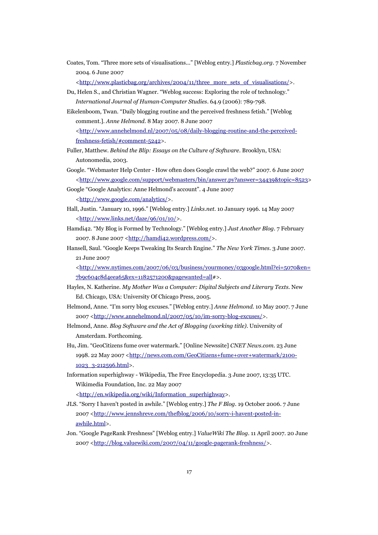Coates, Tom. "Three more sets of visualisations..." [Weblog entry.] *Plasticbag.org*. 7 November 2004. 6 June 2007

[<http://www.plasticbag.org/archives/2004/11/three\\_more\\_sets\\_of\\_visualisations/>](http://www.plasticbag.org/archives/2004/11/three_more_sets_of_visualisations/).

- Du, Helen S., and Christian Wagner. "Weblog success: Exploring the role of technology." *International Journal of Human-Computer Studies*. 64.9 (2006): 789-798.
- Eikelenboom, Twan. "Daily blogging routine and the perceived freshness fetish." [Weblog comment.]. *Anne Helmond*. 8 May 2007. 8 June 2007 [<http://www.annehelmond.nl/2007/05/08/daily-blogging-routine-and-the-perceived](http://www.annehelmond.nl/2007/05/08/daily-blogging-routine-and-the-perceived-freshness-fetish/#comment-5242)[freshness-fetish/#comment-5242>](http://www.annehelmond.nl/2007/05/08/daily-blogging-routine-and-the-perceived-freshness-fetish/#comment-5242).
- Fuller, Matthew. *Behind the Blip: Essays on the Culture of Software*. Brooklyn, USA: Autonomedia, 2003.
- Google. "Webmaster Help Center How often does Google crawl the web?" 2007. 6 June 2007 [<http://www.google.com/support/webmasters/bin/answer.py?answer=34439&topic=8523>](http://www.google.com/support/webmasters/bin/answer.py?answer=34439&topic=8523)
- Google "Google Analytics: Anne Helmond's account". 4 June 2007 [<http://www.google.com/analytics/>](http://www.google.com/analytics/).
- Hall, Justin. "January 10, 1996." [Weblog entry.] *Links.net*. 10 January 1996. 14 May 2007 [<http://www.links.net/daze/96/01/10/>](http://www.links.net/daze/96/01/10/).
- Hamdi42. "My Blog is Formed by Technology." [Weblog entry.] *Just Another Blog*. 7 February  $2007.8$  June  $2007 \frac{\text{http://hamdi42.wordpress.com/}}$ .
- Hansell, Saul. "Google Keeps Tweaking Its Search Engine." *The New York Times*. 3 June 2007. 21 June 2007

[<http://www.nytimes.com/2007/06/03/business/yourmoney/03google.html?ei=5070&en=](http://www.nytimes.com/2007/06/03/business/yourmoney/03google.html?ei=5070&en=7b9c604c8d4eea65&ex=1182571200&pagewanted=all) [7b9c604c8d4eea65&ex=1182571200&pagewanted=all#](http://www.nytimes.com/2007/06/03/business/yourmoney/03google.html?ei=5070&en=7b9c604c8d4eea65&ex=1182571200&pagewanted=all)>.

- Hayles, N. Katherine. *My Mother Was a Computer: Digital Subjects and Literary Texts*. New Ed. Chicago, USA: University Of Chicago Press, 2005.
- Helmond, Anne. "I'm sorry blog excuses." [Weblog entry.] *Anne Helmond.* 10 May 2007*.* 7 June 2007 [<http://www.annehelmond.nl/2007/05/10/im-sorry-blog-excuses/>](http://www.annehelmond.nl/2007/05/10/im-sorry-blog-excuses/).
- Helmond, Anne. *Blog Software and the Act of Blogging (working title)*. University of Amsterdam. Forthcoming.
- Hu, Jim. "GeoCitizens fume over watermark." [Online Newssite] *CNET News.com*. 23 June 1998. 22 May 2007 [<http://news.com.com/GeoCitizens+fume+over+watermark/2100-](http://news.com.com/GeoCitizens+fume+over+watermark/2100-1023_3-212596.html) [1023\\_3-212596.html>](http://news.com.com/GeoCitizens+fume+over+watermark/2100-1023_3-212596.html).
- Information superhighway Wikipedia, The Free Encyclopedia. 3 June 2007, 13:35 UTC. Wikimedia Foundation, Inc. 22 May 2007

[<http://en.wikipedia.org/wiki/Information\\_superhighway>](http://en.wikipedia.org/wiki/Information_superhighway).

- JLS. "Sorry I haven't posted in awhile." [Weblog entry.] *The F Blog*. 19 October 2006. 7 June 2007 [<http://www.jennshreve.com/thefblog/2006/10/sorry-i-havent-posted-in](http://www.jennshreve.com/thefblog/2006/10/sorry-i-havent-posted-in-awhile.html)[awhile.html>](http://www.jennshreve.com/thefblog/2006/10/sorry-i-havent-posted-in-awhile.html).
- Jon. "Google PageRank Freshness" [Weblog entry.] *ValueWiki The Blog*. 11 April 2007. 20 June 2007 [<http://blog.valuewiki.com/2007/04/11/google-pagerank-freshness/>](http://blog.valuewiki.com/2007/04/11/google-pagerank-freshness/).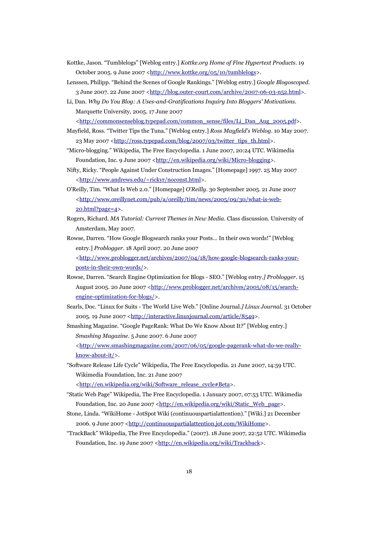- Kottke, Jason. "Tumblelogs" [Weblog entry.] *Kottke.org Home of Fine Hypertext Products*. 19 October 2005. 9 June 2007 [<http://www.kottke.org/05/10/tumblelogs>](http://www.kottke.org/05/10/tumblelogs).
- Lenssen, Philipp. "Behind the Scenes of Google Rankings." [Weblog entry.] *Google Blogoscoped*. 3 June 2007. 22 June 2007 [<http://blog.outer-court.com/archive/2007-06-03-n52.html>](http://blog.outer-court.com/archive/2007-06-03-n52.html).
- Li, Dan. *Why Do You Blog: A Uses-and-Gratifications Inquiry Into Bloggers' Motivations*. Marquette University, 2005. 17 June 2007
	- [<http://commonsenseblog.typepad.com/common\\_sense/files/Li\\_Dan\\_Aug\\_2005.pdf>](http://commonsenseblog.typepad.com/common_sense/files/Li_Dan_Aug_2005.pdf).
- Mayfield, Ross. "Twitter Tips the Tuna." [Weblog entry.] *Ross Mayfield's Weblog*. 10 May 2007. 23 May 2007 [<http://ross.typepad.com/blog/2007/03/twitter\\_tips\\_th.html>](http://ross.typepad.com/blog/2007/03/twitter_tips_th.html).
- "Micro-blogging." Wikipedia, The Free Encyclopedia. 1 June 2007, 20:24 UTC. Wikimedia Foundation, Inc. 9 June 2007 [<http://en.wikipedia.org/wiki/Micro-blogging>](http://en.wikipedia.org/wiki/Micro-blogging).
- Nifty, Ricky. "People Against Under Construction Images." [Homepage] 1997. 25 May 2007 [<http://www.andrews.edu/~rickyr/noconst.html>](http://www.andrews.edu/~rickyr/noconst.html).
- O'Reilly, Tim. "What Is Web 2.0." [Homepage] *O'Reilly.* 30 September 2005. 21 June 2007 [<http://www.oreillynet.com/pub/a/oreilly/tim/news/2005/09/30/what-is-web-](http://www.oreillynet.com/pub/a/oreilly/tim/news/2005/09/30/what-is-web-20.html?page=4)[20.html?page=4>](http://www.oreillynet.com/pub/a/oreilly/tim/news/2005/09/30/what-is-web-20.html?page=4).
- Rogers, Richard. *MA Tutorial: Current Themes in New Media*. Class discussion. University of Amsterdam, May 2007.
- Rowse, Darren. "How Google Blogsearch ranks your Posts… In their own words!" [Weblog entry*.*] *Problogger*. 18 April 2007. 20 June 2007 [<http://www.problogger.net/archives/2007/04/18/how-google-blogsearch-ranks-your](http://www.problogger.net/archives/2007/04/18/how-google-blogsearch-ranks-your-posts-in-their-own-words/)[posts-in-their-own-words/>](http://www.problogger.net/archives/2007/04/18/how-google-blogsearch-ranks-your-posts-in-their-own-words/).
- Rowse, Darren. "Search Engine Optimization for Blogs SEO." [Weblog entry.*] Problogger*. 15 August 2005. 20 June 2007 [<http://www.problogger.net/archives/2005/08/15/search](http://www.problogger.net/archives/2005/08/15/search-engine-optimization-for-blogs/)[engine-optimization-for-blogs/>](http://www.problogger.net/archives/2005/08/15/search-engine-optimization-for-blogs/).
- Searls, Doc. "Linux for Suits The World Live Web." [Online Journal.*] Linux Journal*. 31 October 2005. 19 June 2007 [<http://interactive.linuxjournal.com/article/8549>](http://interactive.linuxjournal.com/article/8549).
- Smashing Magazine. "Google PageRank: What Do We Know About It?" [Weblog entry.] *Smashing Magazine*. 5 June 2007. 6 June 2007 [<http://www.smashingmagazine.com/2007/06/05/google-pagerank-what-do-we-really](http://www.smashingmagazine.com/2007/06/05/google-pagerank-what-do-we-really-know-about-it/)[know-about-it/>](http://www.smashingmagazine.com/2007/06/05/google-pagerank-what-do-we-really-know-about-it/).
- "Software Release Life Cycle" Wikipedia, The Free Encyclopedia. 21 June 2007, 14:59 UTC. Wikimedia Foundation, Inc. 21 June 2007 [<http://en.wikipedia.org/wiki/Software\\_release\\_cycle#Beta>](http://en.wikipedia.org/wiki/Software_release_cycle#Beta).
- "Static Web Page" Wikipedia, The Free Encyclopedia. 1 January 2007, 07:53 UTC. Wikimedia
	- Foundation, Inc. 20 June 2007 [<http://en.wikipedia.org/wiki/Static\\_Web\\_page>](http://en.wikipedia.org/wiki/Static_Web_page).
- Stone, Linda. "WikiHome JotSpot Wiki (continuouspartialattention)." [Wiki.] 21 December 2006. 9 June 2007 [<http://continuouspartialattention.jot.com/WikiHome>](http://continuouspartialattention.jot.com/WikiHome).
- "TrackBack" Wikipedia, The Free Encyclopedia." (2007). 18 June 2007, 22:52 UTC. Wikimedia Foundation, Inc. 19 June 2007 [<http://en.wikipedia.org/wiki/Trackback>](http://en.wikipedia.org/wiki/Trackback).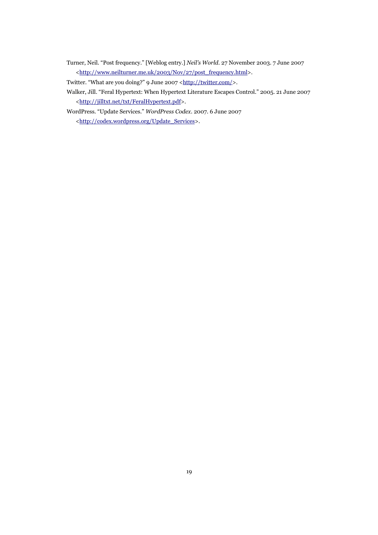Turner, Neil. "Post frequency." [Weblog entry.] *Neil's World*. 27 November 2003. 7 June 2007 [<http://www.neilturner.me.uk/2003/Nov/27/post\\_frequency.html>](http://www.neilturner.me.uk/2003/Nov/27/post_frequency.html).

Twitter. "What are you doing?" 9 June 2007 [<http://twitter.com/>](http://twitter.com/).

- Walker, Jill. "Feral Hypertext: When Hypertext Literature Escapes Control." 2005. 21 June 2007 [<http://jilltxt.net/txt/FeralHypertext.pdf>](http://jilltxt.net/txt/FeralHypertext.pdf).
- WordPress. "Update Services." *WordPress Codex*. 2007. 6 June 2007 [<http://codex.wordpress.org/Update\\_Services>](http://codex.wordpress.org/Update_Services).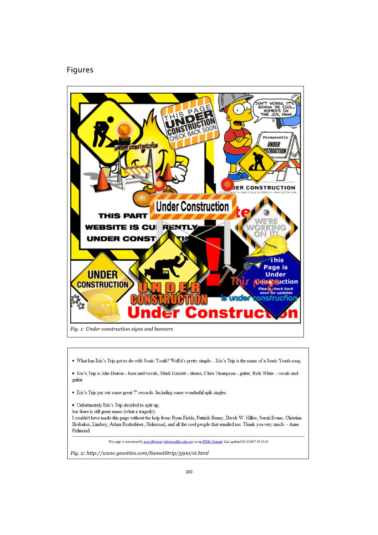## Figures



- What has Eric's Trip got to do with Sonic Youth? Well it's pretty simple... Eric's Trip is the name of a Sonic Youth song.
- · Eric's Trip is Julie Doiron bass and vocals, Mark Gaudet drums, Chris Thompson guitar, Rick White vocals and guitar
- Eric's Trip put out some great 7" records. Including some wonderful split singles.
- Unfortunately Eric's Trip decided to split up,
- but there is still great music (what a tragedy).

I couldn't have made this page without the help from: Ryan Fields, Patrick Benny, Derek W. Hillier, Sarah Evans, Christian Brubaker, Lindsey, Adam Rodenhiser, Holmesad, and all the cool people that emailed me. Thank you very much. - Anne Helmond

This page is maintained by Anne Helmond (ahelmond@wwdg.com) using HTML Notepad. Last updated 08/30/1997 18:50:02

*Fig. 2: http://www.geocities.com/SunsetStrip/3500/et.html*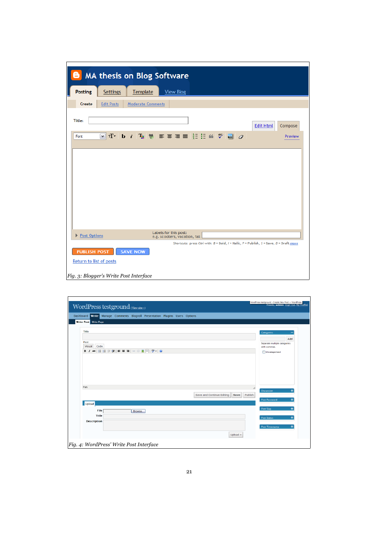|                                        |                   |                          | <b>MA thesis on Blog Software</b>                                                       |  |
|----------------------------------------|-------------------|--------------------------|-----------------------------------------------------------------------------------------|--|
| <b>Posting</b>                         | Settings          | Template                 | <b>View Blog</b>                                                                        |  |
| Create                                 | <b>Edit Posts</b> | <b>Moderate Comments</b> |                                                                                         |  |
| <b>Title:</b>                          |                   |                          | <b>Edit Html</b><br>Compose                                                             |  |
| Font                                   |                   |                          | MT T > b : T   ♥   W   W W W   2 2<br>Preview                                           |  |
|                                        |                   |                          |                                                                                         |  |
|                                        |                   |                          |                                                                                         |  |
|                                        |                   |                          |                                                                                         |  |
|                                        |                   |                          |                                                                                         |  |
|                                        |                   |                          |                                                                                         |  |
|                                        |                   |                          |                                                                                         |  |
| Post Options                           |                   |                          | Labels for this post:<br>e.g. scooters, vacation, fall                                  |  |
|                                        |                   |                          | Shortcuts: press Ctrl with: B = Bold, I = Italic, P = Publish, S = Save, D = Draft more |  |
| <b>PUBLISH POST</b>                    |                   | <b>SAVE NOW</b>          |                                                                                         |  |
| Return to list of posts                |                   |                          |                                                                                         |  |
| Fig. 3: Blogger's Write Post Interface |                   |                          |                                                                                         |  |

| WordPress testground (View site ») | Howdy, admin. [Sign Out, My Profile]                              |                           |                                              |
|------------------------------------|-------------------------------------------------------------------|---------------------------|----------------------------------------------|
| <b>Dashboard</b>                   | Write Manage Comments Blogroll Presentation Plugins Users Options |                           |                                              |
| <b>Write Post</b> Write Page       |                                                                   |                           |                                              |
| Title                              |                                                                   |                           | <b>Categories</b>                            |
|                                    |                                                                   |                           | Add                                          |
| Post<br>Visual<br>Code             |                                                                   |                           | Separate multiple categories<br>with commas. |
|                                    | B/₩ 日日年律  事事者  ◎ ※ 포呂  ♥・  ◎                                      |                           | <b>Uncategorized</b>                         |
|                                    |                                                                   |                           |                                              |
|                                    |                                                                   |                           |                                              |
|                                    |                                                                   |                           |                                              |
|                                    |                                                                   |                           |                                              |
|                                    |                                                                   |                           |                                              |
|                                    |                                                                   |                           |                                              |
| Path:                              |                                                                   |                           |                                              |
|                                    |                                                                   | Save                      | $\ddot{}$<br><b>Discussion</b><br>Publish    |
|                                    |                                                                   | Save and Continue Editing | ÷<br><b>Post Password</b>                    |
| <b>Upload</b>                      |                                                                   |                           |                                              |
|                                    |                                                                   |                           | <b>Post Slug</b><br>$\ddot{}$                |
| File                               | Browse                                                            |                           |                                              |
| <b>Title</b>                       |                                                                   |                           | $\ddot{}$<br><b>Post Status</b>              |
| <b>Description</b>                 |                                                                   |                           |                                              |
|                                    |                                                                   |                           | $\ddot{}$<br><b>Post Timestamp</b>           |
|                                    |                                                                   | Upload »                  |                                              |
|                                    |                                                                   |                           |                                              |